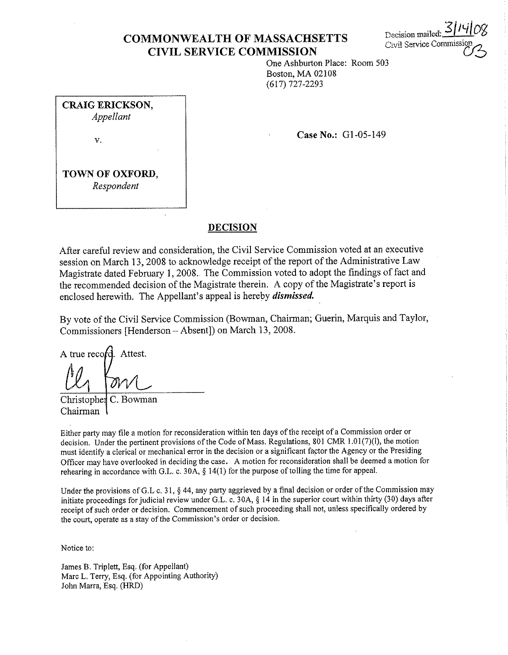# **COMMONWEALTH OF MASSACHSETTS CIVIL SERVICE COMMISSION**

Decision mailed Civil Service Com

One Ashburton Place: Room 503 Boston, MA 02108 (617) 727-2293

| <b>CRAIG ERICKSON,</b><br>Appellant |  |
|-------------------------------------|--|
| v.                                  |  |
| TOWN OF OXFORD,<br>Respondent       |  |

**Case No.:** Gl-05-149

### **DECISION**

After careful review and consideration, the Civil Service Commission voted at an executive session on March 13, 2008 to acknowledge receipt of the report of the Administrative Law Magistrate dated February 1, 2008. The Commission voted to adopt the findings of fact and the recommended decision of the Magistrate therein. A copy of the Magistrate's report is enclosed herewith. The Appellant's appeal is hereby *dismissed.* 

By vote of the Civil Service Commission (Bowman, Chairman; Guerin, Marquis and Taylor, Commissioners [Henderson - Absent]) on March 13, 2008.

A true record. Attest.

Christopher C. Bowman Chairman

Either party may file a motion for reconsideration within ten days of the receipt of a Commission order or decision. Under the pertinent provisions of the Code of Mass. Regulations, 801 CMR 1.01(7)(1), the motion must identify a clerical or mechanical error in the decision or a significant factor the Agency or the Presiding Officer may have overlooked in deciding the case. A motion for reconsideration shall be deemed a motion for rehearing in accordance with G.L. c. 30A, § 14(1) for the purpose of tolling the time for appeal.

Under the provisions of G.L c. 31, § 44, any party aggrieved by a final decision or order of the Commission may initiate proceedings for judicial review under G .L. c. 30A, § 14 in the superior court within thirty (30) days after receipt of such order or decision. Commencement of such proceeding shall not, unless specifically ordered by the court, operate as a stay of the Commission's order or decision.

Notice to:

James B. Triplett, Esq. (for Appellant) Marc L. Terry, Esq. (for Appointing Authority) John Marra, Esq. (HRD)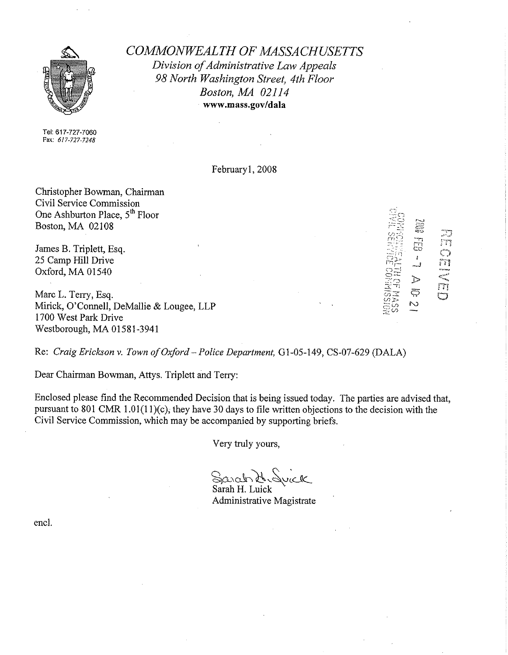

*COMMONWEALTH OF MASSACHUSETTS Division of Administrative Law Appeals 98 North Washington Street, 4th Floor Boston, MA 02114*  **www.mass.gov/dala** 

Tel: 617-727-7060 Fax: *6/7-727-7248* 

February!, 2008

Christopher Bowman, Chairman Civil Service Commission One Ashburton Place, 5<sup>th</sup> Floor Boston, MA 02108

James B. Triplett, Esq. 25 Camp Hill Drive Oxford, MA 01540

Marc L. Terry, Esq. Mirick, O'Connell, DeMallie & Lougee, LLP 1700 West Park Drive Westborough, MA 01581-3941

rn n ang  $\triangleright$ F) ç <u>្</u> *,~{;* **N** 

 $\approx$   $\circ$ 

Re: *Craig Erickson* v. *Town of Oxford* - *Police Department,* G 1-05-149, CS-07-629 (DALA)

Dear Chairman Bowman, Attys. Triplett and Terry:

Enclosed please find the Recommended Decision that is being issued today. The parties are advised that, pursuant to 801 CMR 1.01 $(11)(c)$ , they have 30 days to file written objections to the decision with the Civil Service Commission, which may be accompanied by supporting briefs.

Very truly yours,

 $S$ arah  $B$ rguck Sarah H. Luick

Administrative Magistrate

encl.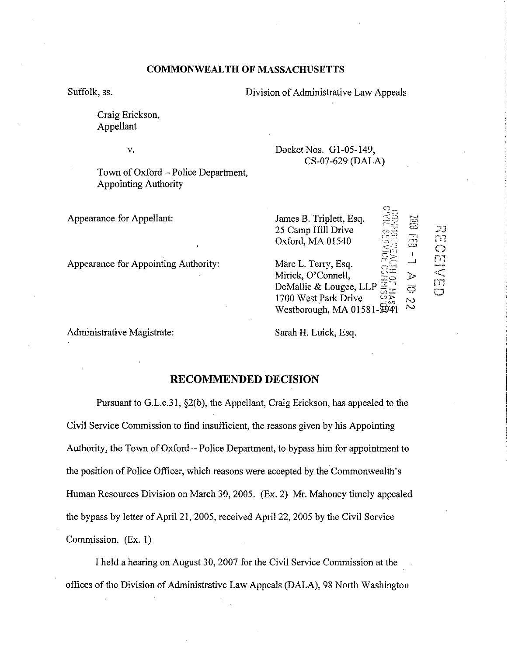### **COMMONWEALTH OF MASSACHUSETTS**

Suffolk, ss. Division of Administrative Law Appeals

Docket Nos. G1-05-149,

Craig Erickson, Appellant

v.

Town of Oxford - Police Department, Appointing Authority

Appearance for Appellant:

Appearance for Appointing Authority:

Administrative Magistrate:

James B. Triplett, Esq. 25 Camp Hill Drive Oxford, MA 01540  $\overline{\cap}$   $\overline{\cap}$ Marc L. Terry, Esq.  $\Xi$ Mirick, O'Connell,  $\overline{\mathfrak{T}}\mathfrak{\scriptstyle{\mathsf{C}}\!\!}$ DeMallie & Lougee, LLP -,., rri =<br>=  $\frac{1}{\sqrt{2}}$ )> ~~

 $\mathbb{R}^2$  $\equiv$ =<br>=

:,J n1 *C)*  rn

··- .,.,,....., rn 1:::J

I

N N

CS-07-629 (DALA)

Westborough, MA  $01581 - 3941$ 

1700 West Park Drive

Sarah H. Luick, Esq.

## **RECOMMENDED DECISION**

Pursuant to G.L.c.31, §2(b), the Appellant, Craig Erickson, has appealed to the Civil Service Commission to find insufficient, the reasons given by his Appointing Authority, the Town of Oxford- Police Department, to bypass him for appointment to the position of Police Officer, which reasons were accepted by the Commonwealth's Human Resources Division on March 30, 2005. (Ex. 2) Mr. Mahoney timely appealed the bypass by letter of April 21, 2005, received April 22, 2005 by the Civil Service Commission. (Ex. 1)

I held a hearing on August 30, 2007 for the Civil Service Commission at the offices of the Division of Administrative Law Appeals (DALA), 98 North Washington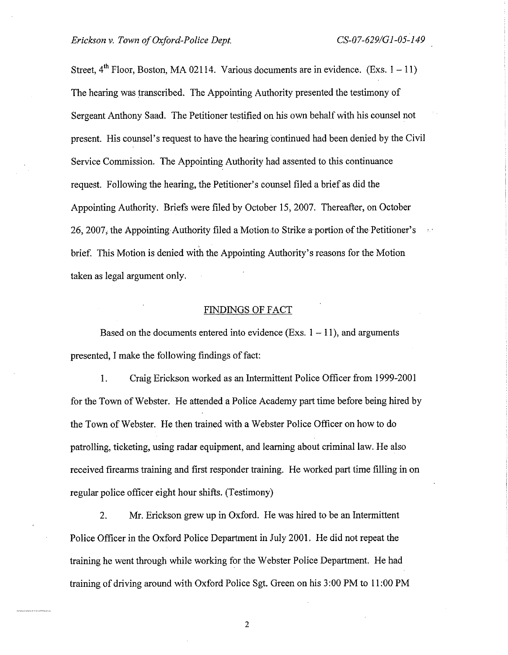Street,  $4<sup>th</sup>$  Floor, Boston, MA 02114. Various documents are in evidence. (Exs.  $1 - 11$ ) The hearing was transcribed. The Appointing Authority presented the testimony of Sergeant Anthony Saad. The Petitioner testified on his own behalf with his counsel not present. His counsel's request to have the hearing continued had been denied by the Civil Service Commission. The Appointing Authority had assented to this continuance request. Following the hearing, the Petitioner's counsel filed a brief as did the Appointing Authority. Briefs were filed by October 15, 2007. Thereafter, on October 26, 2007, the Appointing Authority filed a Motion to Strike a portion of the Petitioner's brief. This Motion is denied with the Appointing Authority's reasons for the Motion taken as legal argument only.

### FINDINGS OF FACT

Based on the documents entered into evidence (Exs.  $1 - 11$ ), and arguments presented, I make the following findings of fact:

I. Craig Erickson worked as an Intermittent Police Officer from I 999-2001 for the Town of Webster. He attended a Police Academy part time before being hired by the Town of Webster. He then trained with a Webster Police Officer on how to do patrolling, ticketing, using radar equipment, and learning about criminal law. He also received firearms training and first responder training. He worked part time filling in on regular police officer eight hour shifts. (Testimony)

2. Mr. Erickson grew up in Oxford. He was hired to be an Intermittent Police Officer in the Oxford Police Department in July 2001. He did not repeat the training he went through while working for the Webster Police Department. He had training of driving around with Oxford Police Sgt. Green on his 3 :00 PM to 11 :00 PM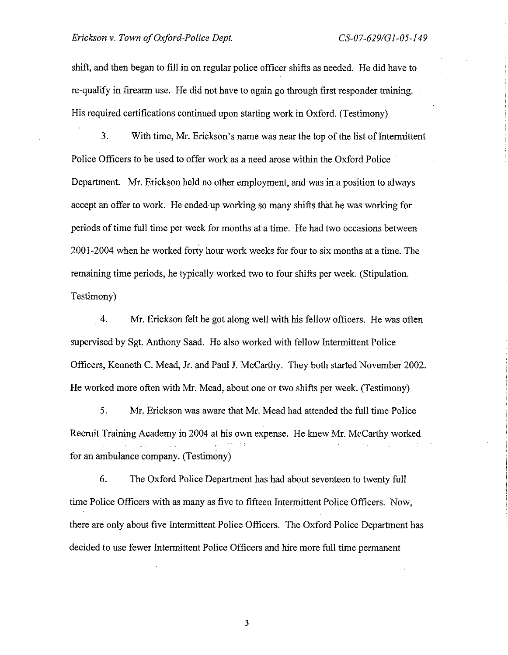shift, and then began to fill in on regular police officer shifts as needed. He did have to re-qualify in firearm use. He did not have to again go through first responder training. His required certifications continued upon starting work in Oxford. (Testimony)

3. With time, Mr. Erickson's name was near the top of the list of Intermittent Police Officers to be used to offer work as a need arose within the Oxford Police Department. Mr. Erickson held no other employment, and was in a position to always accept an offer to work. He ended up working so many shifts that he was working for periods of time full time per week for months at a time. He had two occasions between 2001-2004 when he worked forty hour work weeks for four to six months at a time. The remaining time periods, he typically worked two to four shifts per week. (Stipulation. Testimony)

4. Mr. Erickson felt he got along well with his fellow officers. He was often supervised by Sgt. Anthony Saad. He also worked with fellow Intermittent Police Officers, Kenneth C. Mead, Jr. and Paul J. McCarthy. They both started November 2002. He worked more often with Mr. Mead, about one or two shifts per week. (Testimony)

5. Mr. Erickson was aware that Mr. Mead had attended the full time Police Recruit Training Academy in 2004 at his own expense. He knew Mr. McCarthy worked for an ambulance company. (Testimony)

6. The Oxford Police Department has had about seventeen to twenty full time Police Officers with as many as five to fifteen Intermittent Police Officers. Now, there are only about five Intermittent Police Officers. The Oxford Police Department has decided to use fewer Intermittent Police Officers and hire more full time permanent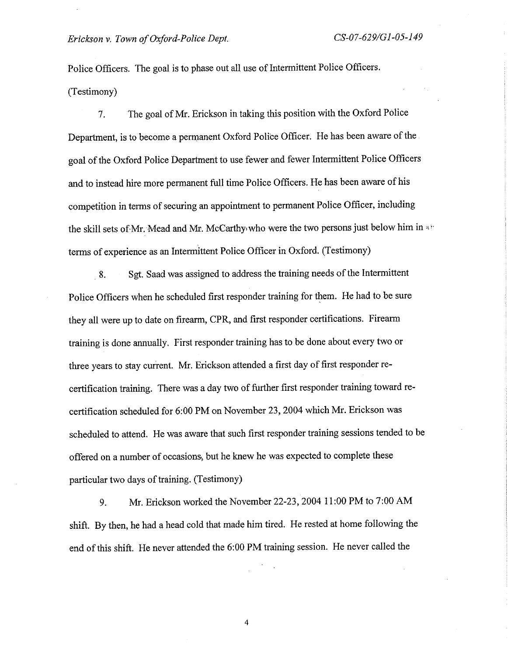Police Officers. The goal is to phase out all use of Intermittent Police Officers. (Testimony)

7. The goal of Mr. Erickson in taking this position with the Oxford Police Department, is to become a permanent Oxford Police Officer. He has been aware of the goal of the Oxford Police Department to use fewer and fewer Intermittent Police Officers and to instead hire more permanent full time Police Officers. He has been aware of his competition in terms of securing an appointment to permanent Police Officer, including the skill sets of Mr. Mead and Mr. McCarthy who were the two persons just below him in an terms of experience as an Intermittent Police Officer in Oxford. (Testimony)

. 8. Sgt. Saad was assigned to address the training needs of the Intermittent Police Officers when he scheduled first responder training for them. He had to be sure they all were up to date on firearm, CPR, and first responder certifications. Firearm training is done annually. First responder training has to be done about every two or three years to stay current. Mr. Erickson attended a first day of first responder recertification training. There was a day two of further first responder training toward recertification scheduled for 6:00 PM on November 23, 2004 which Mr. Erickson was scheduled to attend. He was aware that such first responder training sessions tended to be offered on a number of occasions, but he knew he was expected to complete these particular two days of training. (Testimony)

9. Mr. Erickson worked the November 22-23, 2004 11 :00 PM to 7:00 AM shift. By then, he had a head cold that made him tired. He rested at home following the end of this shift. He never attended the 6:00 PM training session. He never called the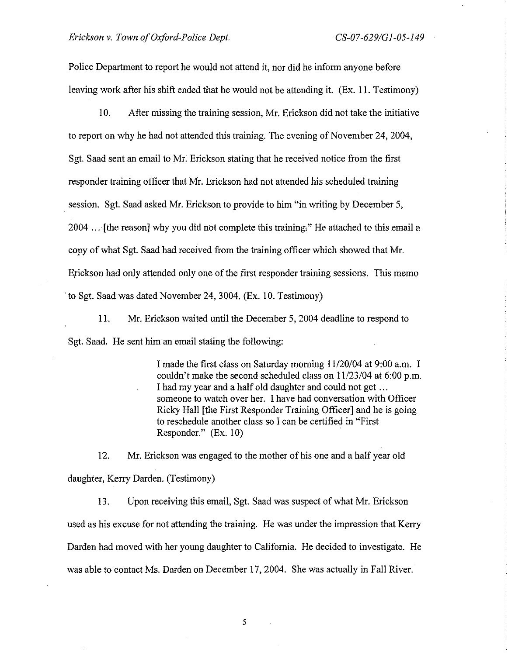Police Department to report he would not attend it, nor did he inform anyone before leaving work after his shift ended that he would not be attending it. (Ex. 11. Testimony)

10. After missing the training session, Mr. Erickson did not take the initiative to report on why he had not attended this training. The evening of November 24, 2004, Sgt. Saad sent an email to Mr. Erickson stating that he received notice from the first responder training officer that Mr. Erickson had not attended his scheduled training session. Sgt. Saad asked Mr. Erickson to provide to him "in writing by December 5, 2004 ... [the reason] why you did not complete this training." He attached to this email a copy of what Sgt. Saad had received from the training officer which showed that Mr. Erickson had only attended only one of the first responder training sessions. This memo · to Sgt. Saad was dated November 24, 3004. (Ex. 10. Testimony)

11. Mr. Erickson waited until the December 5, 2004 deadline to respond to Sgt. Saad. He sent him an email stating the following:

> I made the first class on Saturday morning 11/20/04 at 9:00 a.m. I couldn't make the second scheduled class on 11/23/04 at 6:00 p.m. I had my year and a half old daughter and could not get ... someone to watch over her. I have had conversation with Officer Ricky Hall [the First Responder Training Officer] and he is going to reschedule another class so I can be certified in "First Responder." (Ex. 10)

12. Mr. Erickson was engaged to the mother of his one and a half year old daughter, Kerry Darden. (Testimony)

13. Upon receiving this email, Sgt. Saad was suspect of what Mr. Erickson used as his excuse for not attending the training. He was under the impression that Kerry Darden had moved with her young daughter to California. He decided to investigate. He was able to contact Ms. Darden on December 17, 2004. She was actually in Fall River.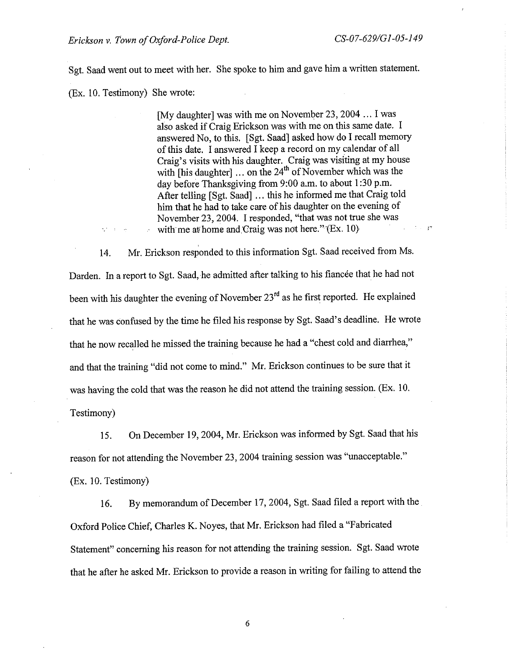Sgt. Saad went out to meet with her. She spoke to him and gave him a written statement.

(Ex. 10. Testimony) She wrote:

[My daughter] was with me on November 23, 2004 ... I was also asked if Craig Erickson was with me on this same date. I answered No, to this. [Sgt. Saad) asked how do I recall memory of this date. I answered I keep a record on my calendar of all Craig's visits with his daughter. Craig was visiting at my house with [his daughter] ... on the  $24<sup>th</sup>$  of November which was the day before Thanksgiving from 9:00 a.m. to about 1 :30 p.m. After telling [Sgt. Saad] ... this he informed me that Craig told him that he had to take care of his daughter on the evening of November 23, 2004. I responded, "that was not true she was with me at home and Craig was not here."  $(Ex. 10)$ 

14. Mr. Erickson responded to this information Sgt. Saad received from Ms. Darden. In a report to Sgt. Saad, he admitted after talking to his fiancée that he had not been with his daughter the evening of November 23<sup>rd</sup> as he first reported. He explained that he was confused by the time he filed his response by Sgt. Saad's deadline. He wrote that he now recalled he missed the training because he had a "chest cold and diarrhea," and that the training "did not come to mind." Mr. Erickson continues to be sure that it was having the cold that was the reason he did not attend the training session. (Ex. 10. Testimony)

15. On December 19, 2004, Mr. Erickson was informed by Sgt. Saad that his reason for not attending the November 23, 2004 training session was "unacceptable." (Ex. 10. Testimony)

16. By memorandum of December 17, 2004, Sgt. Saad filed a report with the. Oxford Police Chief, Charles K. Noyes, that Mr. Erickson had filed a "Fabricated Statement" concerning his reason for not attending the training session. Sgt. Saad wrote that he after he asked Mr. Erickson to provide a reason in writing for failing to attend the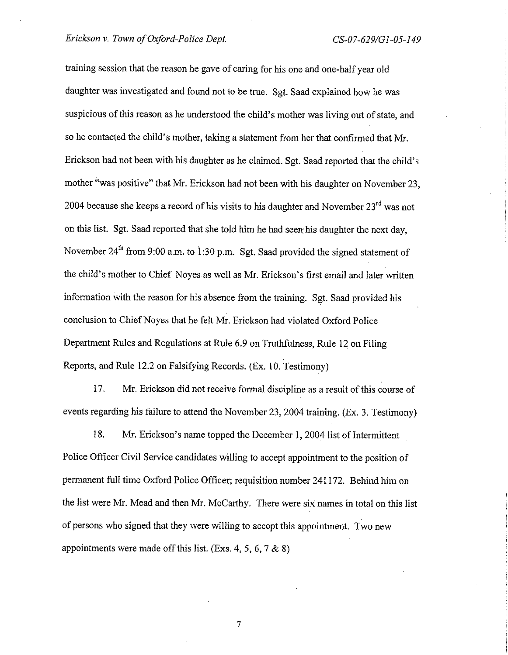### *Erickson v. Town of Oxford-Police Dept. CS-07-629/Gl-05-l 49*

training session that the reason he gave of caring for his one and one-half year old daughter was investigated and found not to be true. Sgt. Saad explained how he was suspicious of this reason as he understood the child's mother was living out of state, and so he contacted the child's mother, taking a statement from her that confirmed that Mr. Erickson had not been with his daughter as he claimed. Sgt. Saad reported that the child's mother "was positive" that Mr. Erickson had not been with his daughter on November 23, 2004 because she keeps a record of his visits to his daughter and November  $23<sup>rd</sup>$  was not on this list. Sgt. Saad reported that she told him\_ he had seen his daughter the next day, November  $24<sup>th</sup>$  from 9:00 a.m. to  $\dot{1}$ :30 p.m. Sgt. Saad provided the signed statement of the child's mother to Chief Noyes as well as Mr. Erickson's first email and later written information with the reason for his absence from the training. Sgt. Saad provided his conclusion to Chief Noyes that he felt Mr. Erickson had violated Oxford Police Department Rules and Regulations at Rule 6.9 on Truthfulness, Rule 12 on Filing Reports, and Rule 12.2 on Falsifying Records. (Ex. 10. Testimony)

17. Mr. Erickson did not receive formal discipline as a result of this course of events regarding his failure to attend the November 23, 2004 training. (Ex. 3. Testimony)

18. Mr. Erickson's name topped the December 1, 2004 list of Intermittent Police Officer Civil Service candidates willing to accept appointment to the position of permanent full time Oxford Police Officer; requisition number 241172. Behind him on the list were Mr. Mead and then Mr. McCarthy. There were six names in total on this list of persons who signed that they were willing to accept this appointment. Two new appointments were made off this list. (Exs. 4, 5, 6, 7  $\&$  8)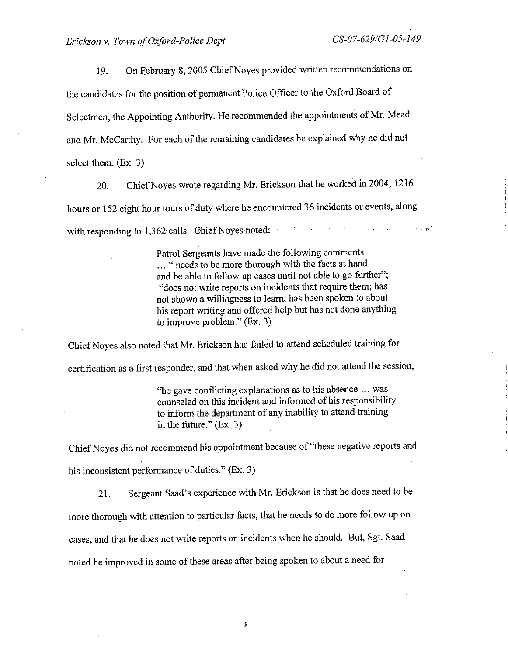19. On February 8, 2005 Chief Noyes provided written recommendations on

the candidates for the position of permanent Police Officer to the Oxford Board of

Selectmen, the Appointing Authority. He recommended the appointments of Mr. Mead

and Mr. McCarthy. For each of the remaining candidates he explained why he did not

select them. (Ex. 3)

20. Chief Noyes wrote regarding Mr. Erickson that he worked in 2004, 1216 hours or 152 eight hour tours of duty where he encountered 36 incidents or events, along with responding to 1,362 calls. Chief Noyes noted: an an airs

> Patrol Sergeants have made the following comments ... " needs to be more thorough with the facts at hand and be able to follow up cases until not able to go further"; "does not write reports on incidents that require them; has not shown a willingness to learn, has been spoken to about his report writing and offered help but has not done anything to improve problem." (Ex. 3)

Chief Noyes also noted that Mr. Erickson had failed to attend scheduled training for

certification as a first responder, and that when asked why he did not attend the session,

"he gave conflicting explanations as to his absence ... was counseled on this incident and informed of his responsibility to inform the department of any inability to attend training in the future." (Ex. 3)

Chief Noyes did not recommend his appointment because of "these negative reports and his inconsistent performance of duties." (Ex. 3)

21. Sergeant Saad' s experience with Mr. Erickson is that he does need to be more thorough with attention to particular facts, that he needs to do more follow up on cases, and that he does not write reports on incidents when he should. But, Sgt. Saad noted he improved in some of these areas after being spoken to about a need for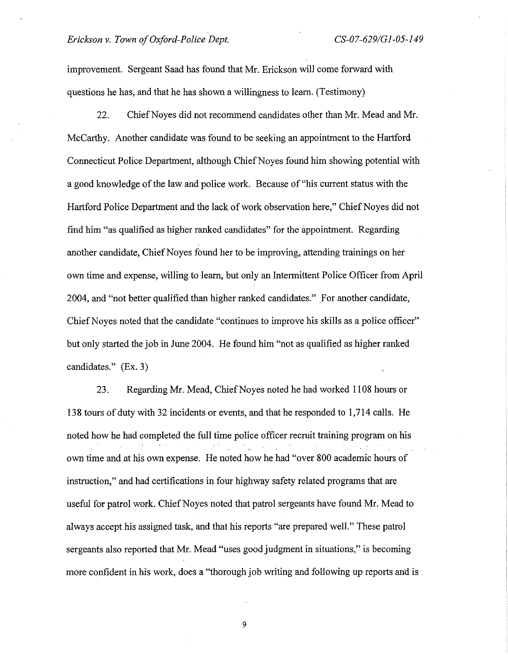improvement. Sergeant Saad has found that Mr. Erickson will come forward with questions he has, and that he has shown a willingness to learn. (Testimony)

22. Chief Noyes did not recommend candidates other than Mr. Mead and Mr. McCarthy. Another candidate was found to be seeking an appointment to the Hartford Connecticut Police Department, although Chief Noyes found him showing potential with a good knowledge of the law and police work. Because of "his current status with the Hartford Police Department and the lack of work observation here," Chief Noyes did not find him "as qualified as higher ranked candidates" for the appointment. Regarding another candidate, Chief Noyes found her to be improving, attending trainings on her own time and expense, willing to learn, but only an Intermittent Police Officer from April 2004, and "not better qualified than higher ranked candidates." \_For another candidate, Chief Noyes noted that the candidate "continues to improve his skills as a police officer" but only started the job in June 2004. He found him "not as qualified as higher ranked candidates." (Ex. 3)

23. Regarding Mr. Mead, Chief Noyes noted he had worked 1108 hours or 138 tours of duty with 32 incidents or events, and that he responded to 1,714 calls. He noted how he had completed the full time police officer recruit training program on his own time and at his own expense. He noted how he had "over 800 academic hours of instruction," and had certifications in four highway safety related programs that are useful for patrol work. Chief Noyes noted that patrol sergeants have found Mr. Mead to always accept his assigned task, and that his reports "are prepared well." These patrol sergeants also reported that Mr. Mead "uses good judgment in situations," is becoming more confident in his work, does a "thorough job writing and following up reports and is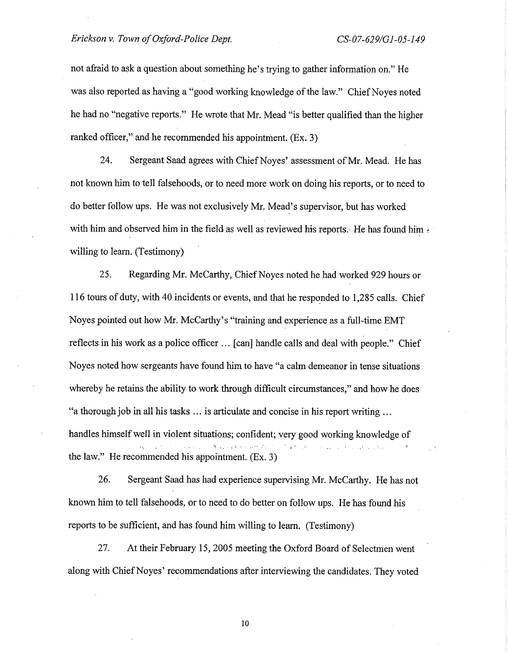not afraid to ask a question about something he's trying to gather information on." He was also reported as having a "good working knowledge of the law." Chief Noyes noted he had no "negative reports." He wrote that Mr. Mead "is better qualified than the higher ranked officer," and he recommended his appointment. (Ex. 3)

24. Sergeant Saad agrees with Chief Noyes' assessment of Mr. Mead. He has not known him to tell falsehoods, or to need more work on doing his reports, or to need to do better follow ups. He was not exclusively Mr. Mead's supervisor, but has worked with him and observed him in the field as well as reviewed his reports. He has found him  $\epsilon$ willing to learn. (Testimony)

25. Regarding Mr. McCarthy, Chief Noyes noted he had worked 929 hours or 116 tours of duty, with 40 incidents or events, and that he responded to 1,285 calls. Chief Noyes pointed out how Mr. McCarthy's "training and experience as a full-time EMT reflects in his work as a police officer ... [can] handle calls and deal with people." Chief Noyes noted how sergeants have found him to have "a calm demeanor in tense situations whereby he retains the ability to work through difficult circumstances," and how he does "a thorough job in all his tasks ... is articulate and concise in his report writing ... handles himself well in violent situations; confident; very good working knowledge of the law." He recommended his appointment. (Ex. 3)

26. Sergeant Saad has had experience supervising Mr. McCarthy. He has not known him to tell falsehoods, or to need to do better on follow ups. He has found his reports to be sufficient, and has found him willing to learn. (Testimony)

27. At their February 15, 2005 meeting the Oxford Board of Selectmen went along with Chief Noyes' recommendations after interviewing the candidates. They voted

JO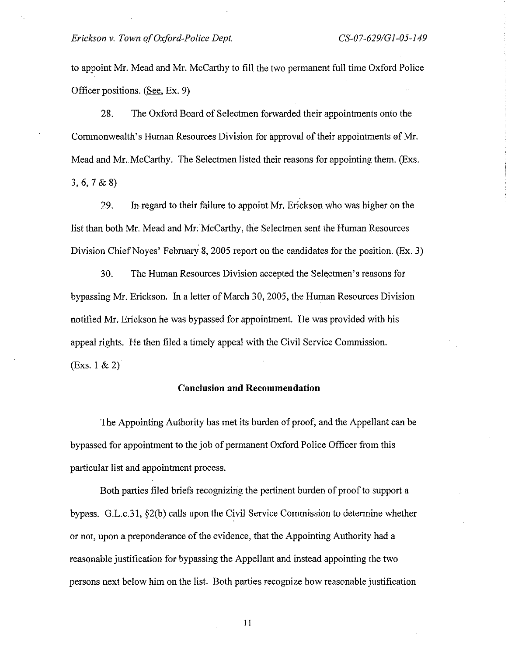#### *Erickson v. Town of Oxford-Police Dept. CS-07-629/Gl-05-l 49*

to appoint Mr. Mead and Mr. McCarthy to fill the two permanent full time Oxford Police Officer positions. (See, Ex. 9)

28. The Oxford Board of Selectmen forwarded their appointments onto the Commonwealth's Human Resources Division for approval of their appointments of Mr. Mead and Mr.McCarthy. The Selectmen listed their reasons for appointing them. (Exs. 3, 6, 7 & 8)

29. In regard to their failure to appoint Mr. Erickson who was higher on the list than both Mr. Mead and Mr. McCarthy, the Selectmen sent the Human Resources Division Chief Noyes' February 8, 2005 report on the candidates for the position. (Ex. 3)

30. The Human Resources Division accepted the Selectmen's reasons for bypassing Mr. Erickson. In a letter of March 30, 2005, the Human Resources Division notified Mr. Erickson he was bypassed for appointment. He was provided with his appeal rights. He then filed a timely appeal with the Civil Service Commission. (Exs. 1 & 2)

### **Conclusion and Recommendation**

The Appointing Authority has met its burden of proof, and the Appellant can be bypassed for appointment to the job of permanent Oxford Police Officer from this particular list and appointment process.

Both parties filed briefs recognizing the pertinent burden of proof to support a bypass. G.L.c.31, §2(b) calls upon the Civil Service Commission to determine whether or not, upon a preponderance of the evidence, that the Appointing Authority had a reasonable justification for bypassing the Appellant and instead appointing the two persons next below him on the list. Both parties recognize how reasonable justification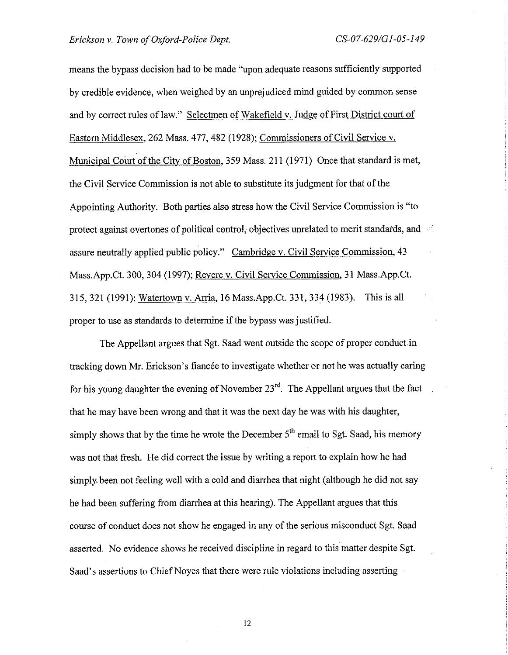means the bypass decision had to be made "upon adequate reasons sufficiently supported by credible evidence, when weighed by an unprejudiced mind guided by common sense and by correct rules of law." Selectmen of Wakefield v. Judge of First District court of Eastern Middlesex, 262 Mass. 477, 482 (1928); Commissioners of Civil Service v. Municipal Court of the City of Boston, 359 Mass. 211 (1971) Once that standard is met, the Civil Service Commission is not able to substitute its judgment for that of the Appointing Authority. Both parties also stress how the Civil Service Commission is "to protect against overtones of political control; objectives unrelated to merit standards, and assure neutrally applied public policy." Cambridge v. Civil Service Commission, 43 Mass.App.Ct. 300, 304 (1997); Revere v. Civil Service Commission, 31 Mass.App.Ct. 315,321 (1991); Watertown v. Arria, 16 Mass.App.Ct. 331,334 (1983). This is all proper to use as standards to determine if the bypass was justified.

The Appellant argues that Sgt. Saad went outside the scope of proper conduct in tracking down Mr. Erickson's fiancée to investigate whether or not he was actually caring for his young daughter the evening of November  $23<sup>rd</sup>$ . The Appellant argues that the fact that he may have been wrong and that it was the next day he was with his daughter, simply shows that by the time he wrote the December  $5<sup>th</sup>$  email to Sgt. Saad, his memory was not that fresh. He did correct the issue by writing a report to explain how he had simply. been not feeling well with a cold and diarrhea that night (although he did not say he had been suffering from diarrhea at this hearing). The Appellant argues that this course of conduct does not show he engaged in any of the serious misconduct Sgt. Saad asserted. No evidence shows he received discipline in regard to this matter despite Sgt. Saad's assertions to Chief Noyes that there were rule violations including asserting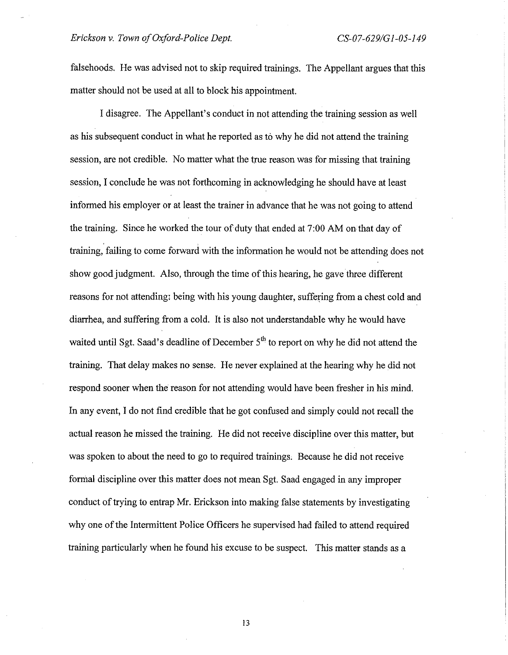falsehoods. He was advised not to skip required trainings. The Appellant argues that this matter should not be used at all to block his appointment.

I disagree. The Appellant's conduct in not attending the training session as well as his subsequent conduct in what he reported as to why he did not attend the training session, are not credible. No matter what the true reason was for missing that training session, I conclude he was not forthcoming in acknowledging he should have at least informed his employer or at least the trainer in advance that he was not going to attend the training. Since he worked the tour of duty that ended at 7:00 AM on that day of training, failing to come forward with the information he would not be attending does not show good judgment. Also, through the time of this hearing, he gave three different reasons for not attending: being with his young daughter, suffering from a chest cold and diarrhea, and suffering from a cold. It is also not understandable why he would have waited until Sgt. Saad's deadline of December  $5<sup>th</sup>$  to report on why he did not attend the training. That delay makes no sense. He never explained at the hearing why he did not respond sooner when the reason for not attending would have been fresher in his mind. In any event, I do not find credible that he got confused and simply could not recall the actual reason he missed the training. He did not receive discipline over this matter, but was spoken to about the need to go to required trainings, Because he did not receive formal discipline over this matter does not mean Sgt. Saad engaged in any improper conduct of trying to entrap Mr. Erickson into making false statements by investigating why one of the Intermittent Police Officers he supervised had failed to attend required training particularly when he found his excuse to be suspect. This matter stands as a